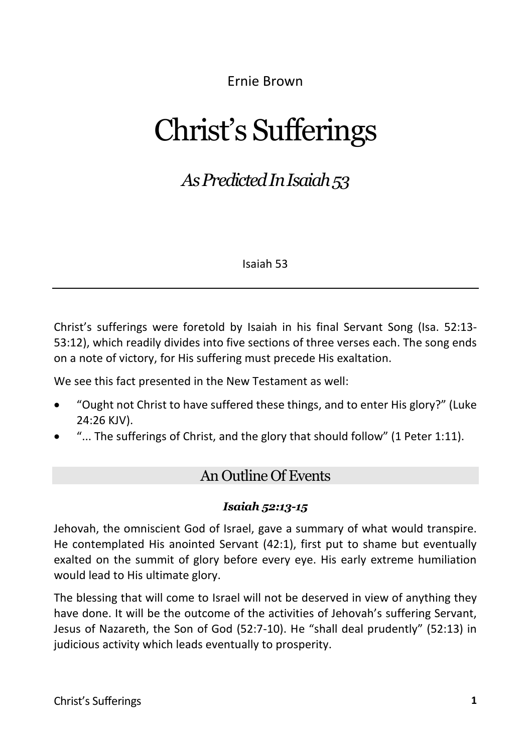Ernie Brown

# Christ's Sufferings

## *As Predicted In Isaiah 53*

Isaiah 53

Christ's sufferings were foretold by Isaiah in his final Servant Song (Isa. 52:13- 53:12), which readily divides into five sections of three verses each. The song ends on a note of victory, for His suffering must precede His exaltation.

We see this fact presented in the New Testament as well:

- "Ought not Christ to have suffered these things, and to enter His glory?" (Luke 24:26 KJV).
- "... The sufferings of Christ, and the glory that should follow" (1 Peter 1:11).

## An Outline Of Events

#### *Isaiah 52:13-15*

Jehovah, the omniscient God of Israel, gave a summary of what would transpire. He contemplated His anointed Servant (42:1), first put to shame but eventually exalted on the summit of glory before every eye. His early extreme humiliation would lead to His ultimate glory.

The blessing that will come to Israel will not be deserved in view of anything they have done. It will be the outcome of the activities of Jehovah's suffering Servant, Jesus of Nazareth, the Son of God (52:7-10). He "shall deal prudently" (52:13) in judicious activity which leads eventually to prosperity.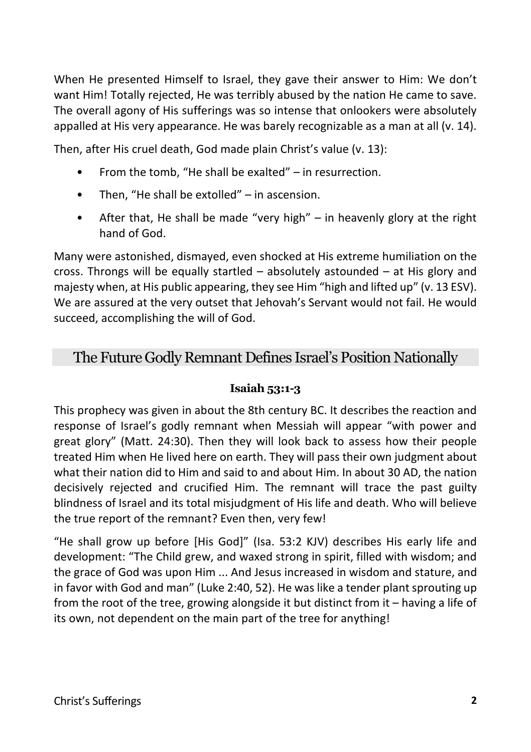When He presented Himself to Israel, they gave their answer to Him: We don't want Him! Totally rejected, He was terribly abused by the nation He came to save. The overall agony of His sufferings was so intense that onlookers were absolutely appalled at His very appearance. He was barely recognizable as a man at all (v. 14).

Then, after His cruel death, God made plain Christ's value (v. 13):

- From the tomb, "He shall be exalted" in resurrection.
- Then, "He shall be extolled" in ascension.
- After that, He shall be made "very high" in heavenly glory at the right hand of God.

Many were astonished, dismayed, even shocked at His extreme humiliation on the cross. Throngs will be equally startled – absolutely astounded – at His glory and majesty when, at His public appearing, they see Him "high and lifted up" (v. 13 ESV). We are assured at the very outset that Jehovah's Servant would not fail. He would succeed, accomplishing the will of God.

## The Future Godly Remnant Defines Israel's Position Nationally

#### **Isaiah 53:1-3**

This prophecy was given in about the 8th century BC. It describes the reaction and response of Israel's godly remnant when Messiah will appear "with power and great glory" (Matt. 24:30). Then they will look back to assess how their people treated Him when He lived here on earth. They will pass their own judgment about what their nation did to Him and said to and about Him. In about 30 AD, the nation decisively rejected and crucified Him. The remnant will trace the past guilty blindness of Israel and its total misjudgment of His life and death. Who will believe the true report of the remnant? Even then, very few!

"He shall grow up before [His God]" (Isa. 53:2 KJV) describes His early life and development: "The Child grew, and waxed strong in spirit, filled with wisdom; and the grace of God was upon Him ... And Jesus increased in wisdom and stature, and in favor with God and man" (Luke 2:40, 52). He was like a tender plant sprouting up from the root of the tree, growing alongside it but distinct from it – having a life of its own, not dependent on the main part of the tree for anything!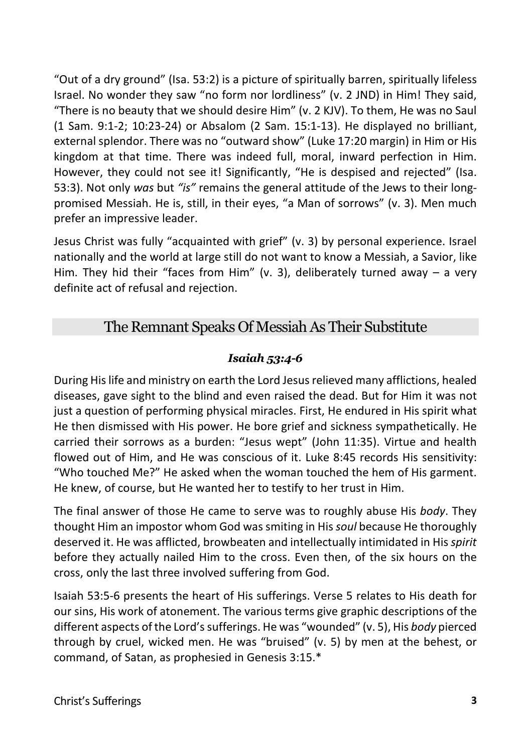"Out of a dry ground" (Isa. 53:2) is a picture of spiritually barren, spiritually lifeless Israel. No wonder they saw "no form nor lordliness" (v. 2 JND) in Him! They said, "There is no beauty that we should desire Him" (v. 2 KJV). To them, He was no Saul (1 Sam. 9:1-2; 10:23-24) or Absalom (2 Sam. 15:1-13). He displayed no brilliant, external splendor. There was no "outward show" (Luke 17:20 margin) in Him or His kingdom at that time. There was indeed full, moral, inward perfection in Him. However, they could not see it! Significantly, "He is despised and rejected" (Isa. 53:3). Not only *was* but *"is"* remains the general attitude of the Jews to their longpromised Messiah. He is, still, in their eyes, "a Man of sorrows" (v. 3). Men much prefer an impressive leader.

Jesus Christ was fully "acquainted with grief" (v. 3) by personal experience. Israel nationally and the world at large still do not want to know a Messiah, a Savior, like Him. They hid their "faces from Him" (v. 3), deliberately turned away – a very definite act of refusal and rejection.

## The Remnant Speaks Of Messiah As Their Substitute

#### *Isaiah 53:4-6*

During His life and ministry on earth the Lord Jesus relieved many afflictions, healed diseases, gave sight to the blind and even raised the dead. But for Him it was not just a question of performing physical miracles. First, He endured in His spirit what He then dismissed with His power. He bore grief and sickness sympathetically. He carried their sorrows as a burden: "Jesus wept" (John 11:35). Virtue and health flowed out of Him, and He was conscious of it. Luke 8:45 records His sensitivity: "Who touched Me?" He asked when the woman touched the hem of His garment. He knew, of course, but He wanted her to testify to her trust in Him.

The final answer of those He came to serve was to roughly abuse His *body*. They thought Him an impostor whom God was smiting in His *soul* because He thoroughly deserved it. He was afflicted, browbeaten and intellectually intimidated in His *spirit* before they actually nailed Him to the cross. Even then, of the six hours on the cross, only the last three involved suffering from God.

Isaiah 53:5-6 presents the heart of His sufferings. Verse 5 relates to His death for our sins, His work of atonement. The various terms give graphic descriptions of the different aspects of the Lord's sufferings. He was "wounded" (v. 5), His *body* pierced through by cruel, wicked men. He was "bruised" (v. 5) by men at the behest, or command, of Satan, as prophesied in Genesis 3:15.\*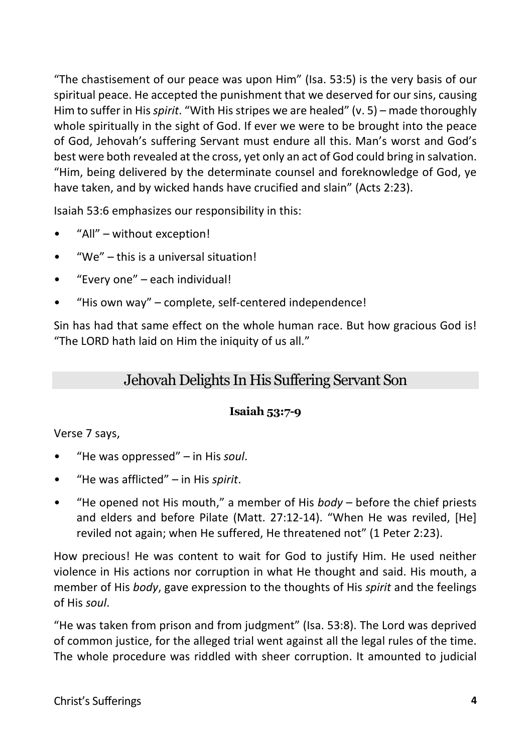"The chastisement of our peace was upon Him" (Isa. 53:5) is the very basis of our spiritual peace. He accepted the punishment that we deserved for our sins, causing Him to suffer in His *spirit*. "With His stripes we are healed" (v. 5) – made thoroughly whole spiritually in the sight of God. If ever we were to be brought into the peace of God, Jehovah's suffering Servant must endure all this. Man's worst and God's best were both revealed at the cross, yet only an act of God could bring in salvation. "Him, being delivered by the determinate counsel and foreknowledge of God, ye have taken, and by wicked hands have crucified and slain" (Acts 2:23).

Isaiah 53:6 emphasizes our responsibility in this:

- "All" without exception!
- "We" this is a universal situation!
- "Every one" each individual!
- "His own way" complete, self-centered independence!

Sin has had that same effect on the whole human race. But how gracious God is! "The LORD hath laid on Him the iniquity of us all."

## Jehovah Delights In His Suffering Servant Son

#### **Isaiah 53:7-9**

Verse 7 says,

- "He was oppressed" in His *soul*.
- "He was afflicted" in His *spirit*.
- "He opened not His mouth," a member of His *body* before the chief priests and elders and before Pilate (Matt. 27:12-14). "When He was reviled, [He] reviled not again; when He suffered, He threatened not" (1 Peter 2:23).

How precious! He was content to wait for God to justify Him. He used neither violence in His actions nor corruption in what He thought and said. His mouth, a member of His *body*, gave expression to the thoughts of His *spirit* and the feelings of His *soul*.

"He was taken from prison and from judgment" (Isa. 53:8). The Lord was deprived of common justice, for the alleged trial went against all the legal rules of the time. The whole procedure was riddled with sheer corruption. It amounted to judicial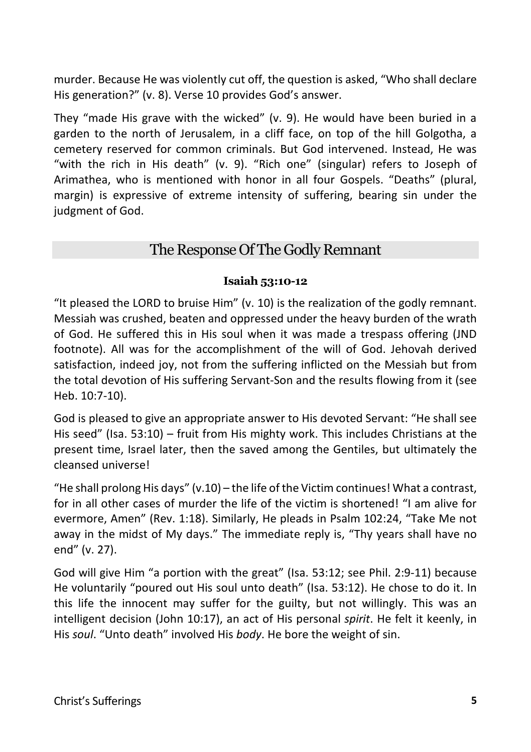murder. Because He was violently cut off, the question is asked, "Who shall declare His generation?" (v. 8). Verse 10 provides God's answer.

They "made His grave with the wicked" (v. 9). He would have been buried in a garden to the north of Jerusalem, in a cliff face, on top of the hill Golgotha, a cemetery reserved for common criminals. But God intervened. Instead, He was "with the rich in His death" (v. 9). "Rich one" (singular) refers to Joseph of Arimathea, who is mentioned with honor in all four Gospels. "Deaths" (plural, margin) is expressive of extreme intensity of suffering, bearing sin under the judgment of God.

## The Response Of The Godly Remnant

#### **Isaiah 53:10-12**

"It pleased the LORD to bruise Him" (v. 10) is the realization of the godly remnant. Messiah was crushed, beaten and oppressed under the heavy burden of the wrath of God. He suffered this in His soul when it was made a trespass offering (JND footnote). All was for the accomplishment of the will of God. Jehovah derived satisfaction, indeed joy, not from the suffering inflicted on the Messiah but from the total devotion of His suffering Servant-Son and the results flowing from it (see Heb. 10:7-10).

God is pleased to give an appropriate answer to His devoted Servant: "He shall see His seed" (Isa. 53:10) – fruit from His mighty work. This includes Christians at the present time, Israel later, then the saved among the Gentiles, but ultimately the cleansed universe!

"He shall prolong His days" (v.10) – the life of the Victim continues! What a contrast, for in all other cases of murder the life of the victim is shortened! "I am alive for evermore, Amen" (Rev. 1:18). Similarly, He pleads in Psalm 102:24, "Take Me not away in the midst of My days." The immediate reply is, "Thy years shall have no end" (v. 27).

God will give Him "a portion with the great" (Isa. 53:12; see Phil. 2:9-11) because He voluntarily "poured out His soul unto death" (Isa. 53:12). He chose to do it. In this life the innocent may suffer for the guilty, but not willingly. This was an intelligent decision (John 10:17), an act of His personal *spirit*. He felt it keenly, in His *soul*. "Unto death" involved His *body*. He bore the weight of sin.